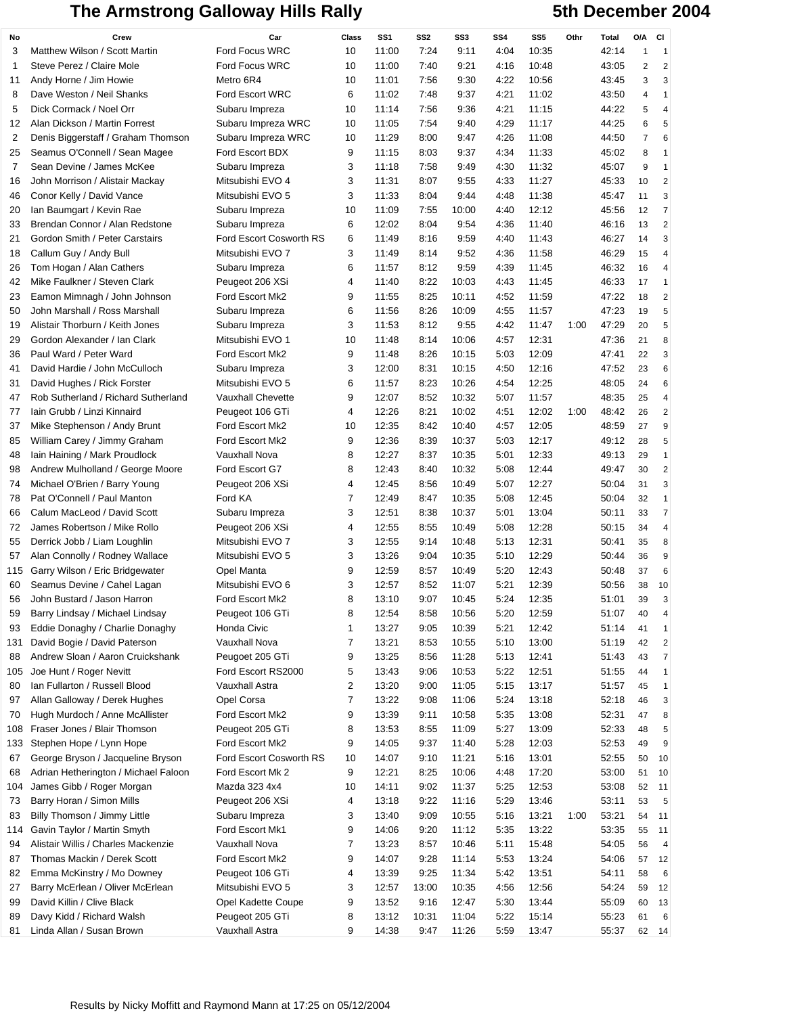## The Armstrong Galloway Hills Rally **5th December 2004**

| No  | Crew                                 | Car                                | Class          | SS <sub>1</sub> | SS <sub>2</sub> | SS3   | SS <sub>4</sub> | SS <sub>5</sub> | Othr | <b>Total</b> | O/A            | <b>CI</b>               |
|-----|--------------------------------------|------------------------------------|----------------|-----------------|-----------------|-------|-----------------|-----------------|------|--------------|----------------|-------------------------|
| 3   | Matthew Wilson / Scott Martin        | Ford Focus WRC                     | 10             | 11:00           | 7:24            | 9:11  | 4:04            | 10:35           |      | 42:14        | 1              | $\mathbf 1$             |
| 1   | Steve Perez / Claire Mole            | <b>Ford Focus WRC</b>              | 10             | 11:00           | 7:40            | 9:21  | 4:16            | 10:48           |      | 43:05        | $\overline{c}$ | $\overline{2}$          |
| 11  | Andy Horne / Jim Howie               | Metro 6R4                          | 10             | 11:01           | 7:56            | 9:30  | 4:22            | 10:56           |      | 43:45        | 3              | 3                       |
| 8   | Dave Weston / Neil Shanks            | <b>Ford Escort WRC</b>             | 6              | 11:02           | 7:48            | 9:37  | 4:21            | 11:02           |      | 43:50        | 4              | 1                       |
| 5   | Dick Cormack / Noel Orr              | Subaru Impreza                     | 10             | 11:14           | 7:56            | 9:36  | 4:21            | 11:15           |      | 44:22        | 5              | 4                       |
| 12  | Alan Dickson / Martin Forrest        | Subaru Impreza WRC                 | 10             | 11:05           | 7:54            | 9:40  | 4:29            | 11:17           |      | 44:25        | 6              | 5                       |
| 2   | Denis Biggerstaff / Graham Thomson   | Subaru Impreza WRC                 | 10             | 11:29           | 8:00            | 9:47  | 4:26            | 11:08           |      | 44:50        | 7              | 6                       |
| 25  | Seamus O'Connell / Sean Magee        | Ford Escort BDX                    | 9              | 11:15           | 8:03            | 9:37  | 4:34            | 11:33           |      | 45:02        | 8              | 1                       |
| 7   | Sean Devine / James McKee            | Subaru Impreza                     | 3              | 11:18           | 7:58            | 9:49  | 4:30            | 11:32           |      | 45:07        | 9              | 1                       |
| 16  | John Morrison / Alistair Mackay      | Mitsubishi EVO 4                   | 3              | 11:31           | 8:07            | 9:55  | 4:33            | 11:27           |      | 45:33        | 10             | $\overline{2}$          |
| 46  | Conor Kelly / David Vance            | Mitsubishi EVO 5                   | 3              | 11:33           | 8:04            | 9:44  | 4:48            | 11:38           |      | 45:47        | 11             | 3                       |
| 20  | Ian Baumgart / Kevin Rae             | Subaru Impreza                     | 10             | 11:09           | 7:55            | 10:00 | 4:40            | 12:12           |      | 45:56        | 12             | $\overline{7}$          |
| 33  | Brendan Connor / Alan Redstone       | Subaru Impreza                     | 6              | 12:02           | 8:04            | 9:54  | 4:36            | 11:40           |      | 46:16        | 13             | $\overline{2}$          |
| 21  | Gordon Smith / Peter Carstairs       | Ford Escort Cosworth RS            | 6              | 11:49           | 8:16            | 9:59  | 4:40            | 11:43           |      | 46:27        | 14             | 3                       |
| 18  | Callum Guy / Andy Bull               | Mitsubishi EVO 7                   | 3              | 11:49           | 8:14            | 9:52  | 4:36            | 11:58           |      | 46:29        | 15             | 4                       |
| 26  | Tom Hogan / Alan Cathers             | Subaru Impreza                     | 6              | 11:57           | 8:12            | 9:59  | 4:39            | 11:45           |      | 46:32        | 16             | 4                       |
| 42  | Mike Faulkner / Steven Clark         | Peugeot 206 XSi                    | 4              | 11:40           | 8:22            | 10:03 | 4:43            | 11:45           |      | 46:33        | 17             | 1                       |
| 23  | Eamon Mimnagh / John Johnson         | Ford Escort Mk2                    | 9              | 11:55           | 8:25            | 10:11 | 4:52            | 11:59           |      | 47:22        | 18             | $\overline{2}$          |
| 50  | John Marshall / Ross Marshall        |                                    | 6              | 11:56           | 8:26            | 10:09 | 4:55            | 11:57           |      | 47:23        | 19             | 5                       |
| 19  | Alistair Thorburn / Keith Jones      | Subaru Impreza                     | 3              | 11:53           | 8:12            | 9:55  | 4:42            | 11:47           | 1:00 | 47:29        | 20             | 5                       |
|     | Gordon Alexander / Ian Clark         | Subaru Impreza<br>Mitsubishi EVO 1 | 10             | 11:48           | 8:14            | 10:06 | 4:57            | 12:31           |      | 47:36        | 21             |                         |
| 29  | Paul Ward / Peter Ward               |                                    | 9              |                 |                 |       |                 | 12:09           |      |              |                | 8                       |
| 36  |                                      | Ford Escort Mk2                    |                | 11:48           | 8:26            | 10:15 | 5:03            |                 |      | 47:41        | 22             | 3                       |
| 41  | David Hardie / John McCulloch        | Subaru Impreza                     | 3              | 12:00           | 8:31            | 10:15 | 4:50            | 12:16           |      | 47:52        | 23             | 6                       |
| 31  | David Hughes / Rick Forster          | Mitsubishi EVO 5                   | 6              | 11:57           | 8:23            | 10:26 | 4:54            | 12:25           |      | 48:05        | 24             | 6                       |
| 47  | Rob Sutherland / Richard Sutherland  | Vauxhall Chevette                  | 9              | 12:07           | 8:52            | 10:32 | 5:07            | 11:57           |      | 48:35        | 25             | 4                       |
| 77  | Iain Grubb / Linzi Kinnaird          | Peugeot 106 GTi                    | 4              | 12:26           | 8:21            | 10:02 | 4:51            | 12:02           | 1:00 | 48:42        | 26             | $\overline{2}$          |
| 37  | Mike Stephenson / Andy Brunt         | Ford Escort Mk2                    | 10             | 12:35           | 8:42            | 10:40 | 4:57            | 12:05           |      | 48:59        | 27             | 9                       |
| 85  | William Carey / Jimmy Graham         | Ford Escort Mk2                    | 9              | 12:36           | 8:39            | 10:37 | 5:03            | 12:17           |      | 49:12        | 28             | 5                       |
| 48  | lain Haining / Mark Proudlock        | Vauxhall Nova                      | 8              | 12:27           | 8:37            | 10:35 | 5:01            | 12:33           |      | 49:13        | 29             | 1                       |
| 98  | Andrew Mulholland / George Moore     | Ford Escort G7                     | 8              | 12:43           | 8:40            | 10:32 | 5:08            | 12:44           |      | 49:47        | 30             | $\overline{\mathbf{c}}$ |
| 74  | Michael O'Brien / Barry Young        | Peugeot 206 XSi                    | 4              | 12:45           | 8:56            | 10:49 | 5:07            | 12:27           |      | 50:04        | 31             | 3                       |
| 78  | Pat O'Connell / Paul Manton          | Ford KA                            | 7              | 12:49           | 8:47            | 10:35 | 5:08            | 12:45           |      | 50:04        | 32             | 1                       |
| 66  | Calum MacLeod / David Scott          | Subaru Impreza                     | 3              | 12:51           | 8:38            | 10:37 | 5:01            | 13:04           |      | 50:11        | 33             | $\overline{7}$          |
| 72  | James Robertson / Mike Rollo         | Peugeot 206 XSi                    | 4              | 12:55           | 8:55            | 10:49 | 5:08            | 12:28           |      | 50:15        | 34             | 4                       |
| 55  | Derrick Jobb / Liam Loughlin         | Mitsubishi EVO 7                   | 3              | 12:55           | 9:14            | 10:48 | 5:13            | 12:31           |      | 50:41        | 35             | 8                       |
| 57  | Alan Connolly / Rodney Wallace       | Mitsubishi EVO 5                   | 3              | 13:26           | 9:04            | 10:35 | 5:10            | 12:29           |      | 50:44        | 36             | 9                       |
| 115 | Garry Wilson / Eric Bridgewater      | Opel Manta                         | 9              | 12:59           | 8:57            | 10:49 | 5:20            | 12:43           |      | 50:48        | 37             | 6                       |
| 60  | Seamus Devine / Cahel Lagan          | Mitsubishi EVO 6                   | 3              | 12:57           | 8:52            | 11:07 | 5:21            | 12:39           |      | 50:56        | 38             | 10                      |
| 56  | John Bustard / Jason Harron          | Ford Escort Mk2                    | 8              | 13:10           | 9:07            | 10:45 | 5:24            | 12:35           |      | 51:01        | 39             | 3                       |
| 59  | Barry Lindsay / Michael Lindsay      | Peugeot 106 GTi                    | 8              | 12:54           | 8:58            | 10:56 | 5:20            | 12:59           |      | 51:07        | 40             | 4                       |
| 93  | Eddie Donaghy / Charlie Donaghy      | Honda Civic                        | 1              | 13:27           | 9:05            | 10:39 | 5:21            | 12:42           |      | 51:14        | 41             | 1                       |
| 131 | David Bogie / David Paterson         | <b>Vauxhall Nova</b>               | $\overline{7}$ | 13:21           | 8:53            | 10:55 | 5:10            | 13:00           |      | 51:19        | 42             | $\overline{\mathbf{c}}$ |
| 88  | Andrew Sloan / Aaron Cruickshank     | Peugoet 205 GTi                    | 9              | 13:25           | 8:56            | 11:28 | 5:13            | 12:41           |      | 51:43        | 43             | $\overline{7}$          |
| 105 | Joe Hunt / Roger Nevitt              | Ford Escort RS2000                 | 5              | 13:43           | 9:06            | 10:53 | 5:22            | 12:51           |      | 51:55        | 44             | 1                       |
| 80  | Ian Fullarton / Russell Blood        | Vauxhall Astra                     | $\overline{2}$ | 13:20           | 9:00            | 11:05 | 5:15            | 13:17           |      | 51:57        | 45             | 1                       |
| 97  | Allan Galloway / Derek Hughes        | Opel Corsa                         | $\overline{7}$ | 13:22           | 9:08            | 11:06 | 5:24            | 13:18           |      | 52:18        | 46             | 3                       |
| 70  | Hugh Murdoch / Anne McAllister       | Ford Escort Mk2                    | 9              | 13:39           | 9:11            | 10:58 | 5:35            | 13:08           |      | 52:31        | 47             | 8                       |
| 108 | Fraser Jones / Blair Thomson         | Peugeot 205 GTi                    | 8              | 13:53           | 8:55            | 11:09 | 5:27            | 13:09           |      | 52:33        | 48             | 5                       |
| 133 | Stephen Hope / Lynn Hope             | Ford Escort Mk2                    | 9              | 14:05           | 9:37            | 11:40 | 5:28            | 12:03           |      | 52:53        | 49             | 9                       |
| 67  | George Bryson / Jacqueline Bryson    | Ford Escort Cosworth RS            | 10             | 14:07           | 9:10            | 11:21 | 5:16            | 13:01           |      | 52:55        | 50             | 10                      |
| 68  | Adrian Hetherington / Michael Faloon | Ford Escort Mk 2                   | 9              | 12:21           | 8:25            | 10:06 | 4:48            | 17:20           |      | 53:00        | 51             | 10                      |
| 104 | James Gibb / Roger Morgan            | Mazda 323 4x4                      | 10             | 14:11           | 9:02            | 11:37 | 5:25            | 12:53           |      | 53:08        | 52             | 11                      |
| 73  | Barry Horan / Simon Mills            | Peugeot 206 XSi                    | 4              | 13:18           | 9:22            | 11:16 | 5:29            | 13:46           |      | 53:11        | 53             | 5                       |
| 83  | Billy Thomson / Jimmy Little         | Subaru Impreza                     | 3              | 13:40           | 9:09            | 10:55 | 5:16            | 13:21           | 1:00 | 53:21        | 54             | 11                      |
| 114 | Gavin Taylor / Martin Smyth          | Ford Escort Mk1                    | 9              | 14:06           | 9:20            | 11:12 | 5:35            | 13:22           |      | 53:35        | 55             | 11                      |
| 94  | Alistair Willis / Charles Mackenzie  | Vauxhall Nova                      | 7              | 13:23           | 8:57            | 10:46 | 5:11            | 15:48           |      | 54:05        | 56             | $\overline{4}$          |
| 87  | Thomas Mackin / Derek Scott          | Ford Escort Mk2                    | 9              | 14:07           | 9:28            | 11:14 | 5:53            | 13:24           |      | 54:06        | 57             | 12                      |
| 82  | Emma McKinstry / Mo Downey           | Peugeot 106 GTi                    | 4              | 13:39           | 9:25            | 11:34 | 5:42            | 13:51           |      | 54:11        | 58             | 6                       |
| 27  | Barry McErlean / Oliver McErlean     | Mitsubishi EVO 5                   | 3              | 12:57           | 13:00           | 10:35 | 4:56            | 12:56           |      | 54:24        | 59             | 12                      |
| 99  | David Killin / Clive Black           | Opel Kadette Coupe                 | 9              | 13:52           | 9:16            | 12:47 | 5:30            | 13:44           |      | 55:09        | 60             | 13                      |
| 89  | Davy Kidd / Richard Walsh            | Peugeot 205 GTi                    | 8              | 13:12           | 10:31           | 11:04 | 5:22            | 15:14           |      | 55:23        | 61             | 6                       |
| 81  | Linda Allan / Susan Brown            | Vauxhall Astra                     | 9              | 14:38           | 9:47            | 11:26 | 5:59            | 13:47           |      | 55:37        | 62             | 14                      |